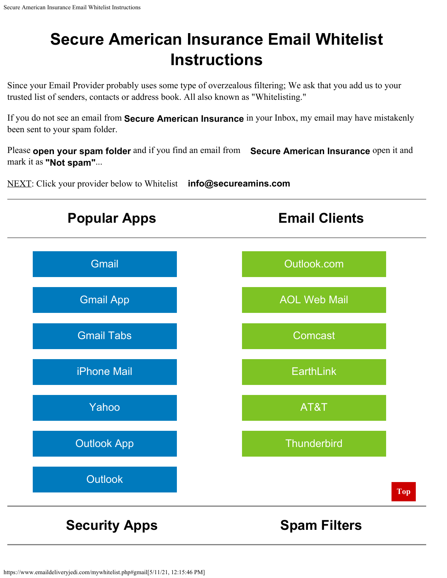<span id="page-0-0"></span>Since your Email Provider probably uses some type of overzealous filtering; We ask that you add us to your trusted list of senders, contacts or address book. All also known as "Whitelisting."

If you do not see an email from **Secure American Insurance** in your Inbox, my email may have mistakenly been sent to your spam folder.

Please **open your spam folder** and if you find an email from **Secure American Insurance** open it and mark it as **"Not spam"**...

NEXT: Click your provider below to Whitelist **info@secureamins.com**

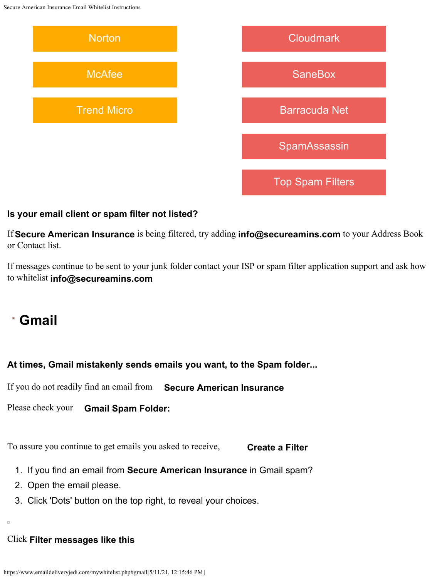

#### **Is your email client or spam filter not listed?**

If **Secure American Insurance** is being filtered, try adding **info@secureamins.com** to your Address Book or Contact list.

If messages continue to be sent to your junk folder contact your ISP or spam filter application support and ask how to whitelist **info@secureamins.com**

## <span id="page-1-0"></span>**Gmail**

### **At times, Gmail mistakenly sends emails you want, to the Spam folder...**

If you do not readily find an email from **Secure American Insurance**

Please check your **Gmail Spam Folder:**

To assure you continue to get emails you asked to receive, **Create a Filter**

- 1. If you find an email from **Secure American Insurance** in Gmail spam?
- 2. Open the email please.
- 3. Click 'Dots' button on the top right, to reveal your choices.

#### Click **Filter messages like this**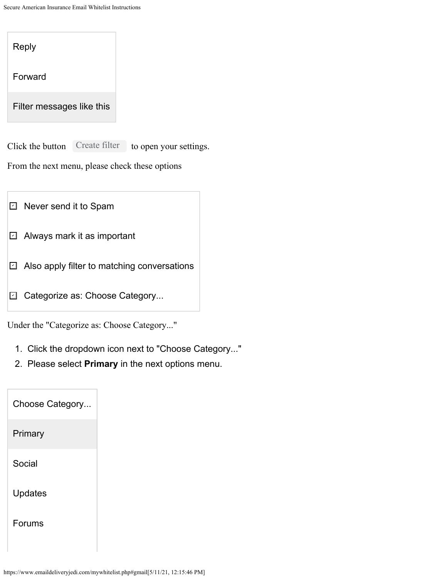| Reply                             |                        |
|-----------------------------------|------------------------|
| Forward                           |                        |
| Filter messages like this         |                        |
| Create filter<br>Click the button | to open your settings. |

From the next menu, please check these options

- $\mathbb I$  Never send it to Spam
- $\mathbf \Xi$  Always mark it as important
- ⊡ Also apply filter to matching conversations
- **□ Categorize as: Choose Category...**

Under the "Categorize as: Choose Category..."

- 1. Click the dropdown icon next to "Choose Category..."
- 2. Please select **Primary** in the next options menu.

| Choose Category |  |
|-----------------|--|
| Primary         |  |
| Social          |  |
| <b>Updates</b>  |  |
| Forums          |  |
|                 |  |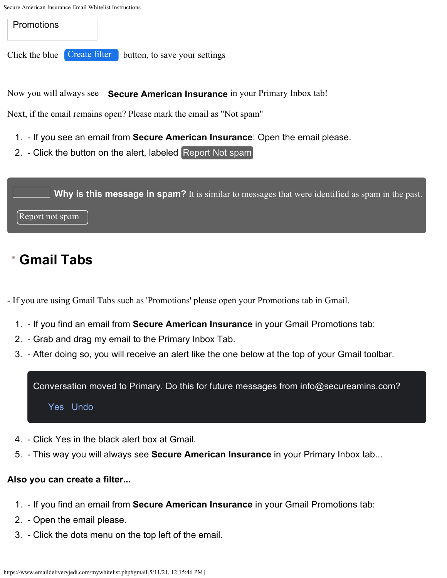**Promotions** 

Click the blue **Create filter** button, to save your settings

Now you will always see **Secure American Insurance** in your Primary Inbox tab!

Next, if the email remains open? Please mark the email as "Not spam"

- 1. If you see an email from **Secure American Insurance**: Open the email please.
- 2. Click the button on the alert, labeled Report Not spam



# <span id="page-3-0"></span>**Gmail Tabs**

- If you are using Gmail Tabs such as 'Promotions' please open your Promotions tab in Gmail.

- 1. If you find an email from **Secure American Insurance** in your Gmail Promotions tab:
- 2. Grab and drag my email to the Primary Inbox Tab.
- 3. After doing so, you will receive an alert like the one below at the top of your Gmail toolbar.

Conversation moved to Primary. Do this for future messages from info@secureamins.com?

Yes Undo

- 4. Click Yes in the black alert box at Gmail.
- 5. This way you will always see **Secure American Insurance** in your Primary Inbox tab...

### **Also you can create a filter...**

- 1. If you find an email from **Secure American Insurance** in your Gmail Promotions tab:
- 2. Open the email please.
- 3. Click the dots menu on the top left of the email.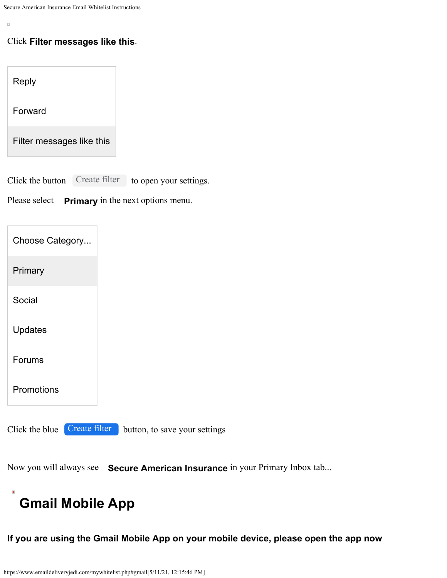$\alpha$ 

#### Click **Filter messages like this**.

Reply

Forward

Filter messages like this

Click the button Create filter to open your settings.

Please select **Primary** in the next options menu.

| Choose Category                 |                               |
|---------------------------------|-------------------------------|
| Primary                         |                               |
| Social                          |                               |
| <b>Updates</b>                  |                               |
| <b>Forums</b>                   |                               |
| Promotions                      |                               |
| Create filter<br>Click the blue | button, to save your settings |

Now you will always see **Secure American Insurance** in your Primary Inbox tab...

# <span id="page-4-0"></span>**Gmail Mobile App**

**If you are using the Gmail Mobile App on your mobile device, please open the app now**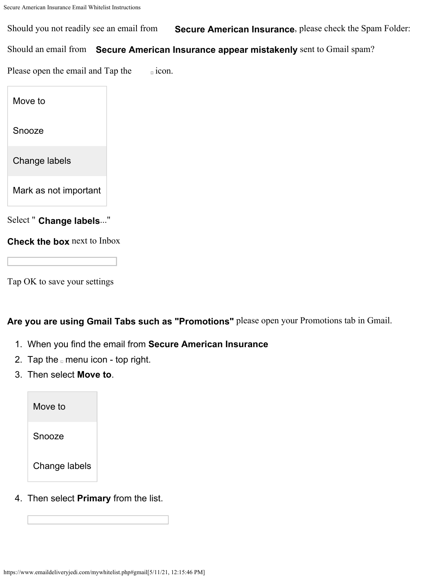Should you not readily see an email from **Secure American Insurance**, please check the Spam Folder:

Should an email from **Secure American Insurance appear mistakenly** sent to Gmail spam?

Please open the email and Tap the  $\Box$  icon.

Move to

Snooze

Change labels

Mark as not important

Select " **Change labels**..."

**Check the box** next to Inbox

Tap OK to save your settings

**Are you are using Gmail Tabs such as "Promotions"** please open your Promotions tab in Gmail.

- 1. When you find the email from **Secure American Insurance**
- 2. Tap the  $\Box$  menu icon top right.
- 3. Then select **Move to**.

Move to

Snooze

Change labels

4. Then select **Primary** from the list.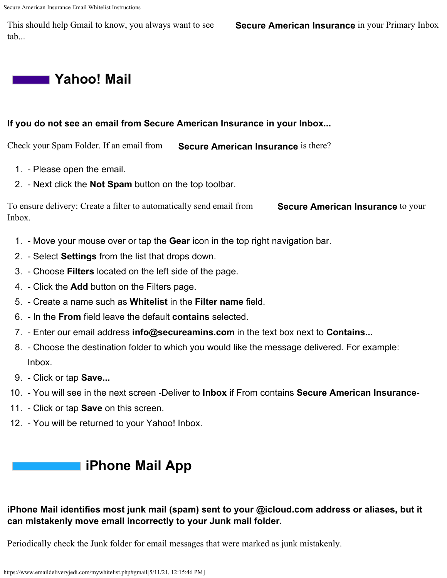This should help Gmail to know, you always want to see **Secure American Insurance** in your Primary Inbox tab...

## <span id="page-6-1"></span>**Yahoo! Mail**

#### **If you do not see an email from Secure American Insurance in your Inbox...**

Check your Spam Folder. If an email from **Secure American Insurance** is there?

- 1. Please open the email.
- 2. Next click the **Not Spam** button on the top toolbar.

To ensure delivery: Create a filter to automatically send email from **Secure American Insurance** to your Inbox.

- 1. Move your mouse over or tap the **Gear** icon in the top right navigation bar.
- 2. Select **Settings** from the list that drops down.
- 3. Choose **Filters** located on the left side of the page.
- 4. Click the **Add** button on the Filters page.
- 5. Create a name such as **Whitelist** in the **Filter name** field.
- 6. In the **From** field leave the default **contains** selected.
- 7. Enter our email address **info@secureamins.com** in the text box next to **Contains...**
- 8. Choose the destination folder to which you would like the message delivered. For example: Inbox.
- 9. Click or tap **Save...**
- 10. You will see in the next screen -Deliver to **Inbox** if From contains **Secure American Insurance**-
- 11. Click or tap **Save** on this screen.
- <span id="page-6-0"></span>12. - You will be returned to your Yahoo! Inbox.

## **iPhone Mail App**

### **iPhone Mail identifies most junk mail (spam) sent to your @icloud.com address or aliases, but it can mistakenly move email incorrectly to your Junk mail folder.**

Periodically check the Junk folder for email messages that were marked as junk mistakenly.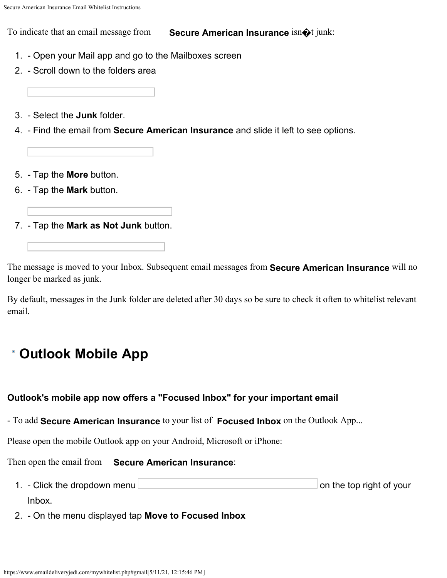To indicate that an email message from **Secure American Insurance** isn�t junk:

- 1. Open your Mail app and go to the Mailboxes screen
- 2. Scroll down to the folders area
- 3. Select the **Junk** folder.
- 4. Find the email from **Secure American Insurance** and slide it left to see options.
- 5. Tap the **More** button.
- 6. Tap the **Mark** button.
- 7. Tap the **Mark as Not Junk** button.

The message is moved to your Inbox. Subsequent email messages from **Secure American Insurance** will no longer be marked as junk.

By default, messages in the Junk folder are deleted after 30 days so be sure to check it often to whitelist relevant email.

# <span id="page-7-0"></span>**Outlook Mobile App**

### **Outlook's mobile app now offers a "Focused Inbox" for your important email**

- To add **Secure American Insurance** to your list of **Focused Inbox** on the Outlook App...

Please open the mobile Outlook app on your Android, Microsoft or iPhone:

Then open the email from **Secure American Insurance**:

- 1. Click the dropdown menu **contained to the team of your** on the top right of your Inbox.
- 2. On the menu displayed tap **Move to Focused Inbox**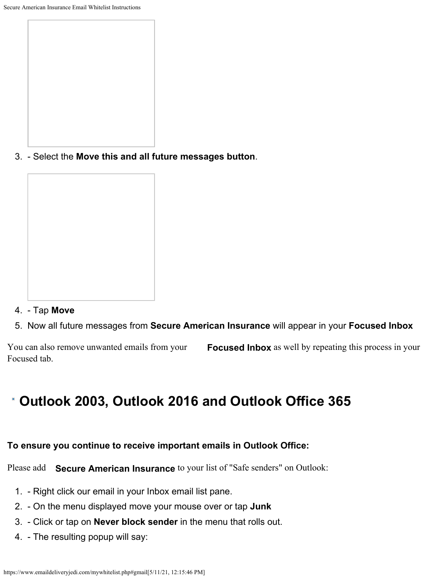3. - Select the **Move this and all future messages button**.

- 4. Tap **Move**
- 5. Now all future messages from **Secure American Insurance** will appear in your **Focused Inbox**

You can also remove unwanted emails from your **Focused Inbox** as well by repeating this process in your Focused tab.

## <span id="page-8-0"></span>**Outlook 2003, Outlook 2016 and Outlook Office 365**

### **To ensure you continue to receive important emails in Outlook Office:**

Please add **Secure American Insurance** to your list of "Safe senders" on Outlook:

- 1. Right click our email in your Inbox email list pane.
- 2. On the menu displayed move your mouse over or tap **Junk**
- 3. Click or tap on **Never block sender** in the menu that rolls out.
- 4. The resulting popup will say: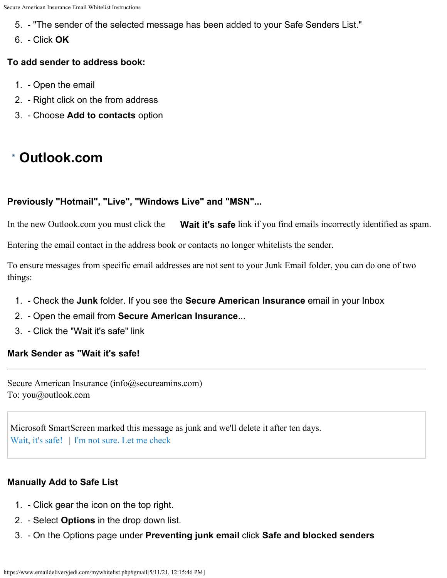- 5. "The sender of the selected message has been added to your Safe Senders List."
- 6. Click **OK**

#### **To add sender to address book:**

- 1. Open the email
- 2. Right click on the from address
- 3. Choose **Add to contacts** option

## <span id="page-9-0"></span>**Outlook.com**

#### **Previously "Hotmail", "Live", "Windows Live" and "MSN"...**

In the new Outlook.com you must click the **Wait it's safe** link if you find emails incorrectly identified as spam.

Entering the email contact in the address book or contacts no longer whitelists the sender.

To ensure messages from specific email addresses are not sent to your Junk Email folder, you can do one of two things:

- 1. Check the **Junk** folder. If you see the **Secure American Insurance** email in your Inbox
- 2. Open the email from **Secure American Insurance**...
- 3. Click the "Wait it's safe" link

#### **Mark Sender as "Wait it's safe!**

Secure American Insurance (info@secureamins.com) To: you@outlook.com

Microsoft SmartScreen marked this message as junk and we'll delete it after ten days. Wait, it's safe! | I'm not sure. Let me check

#### **Manually Add to Safe List**

- 1. Click gear the icon on the top right.
- 2. Select **Options** in the drop down list.
- 3. On the Options page under **Preventing junk email** click **Safe and blocked senders**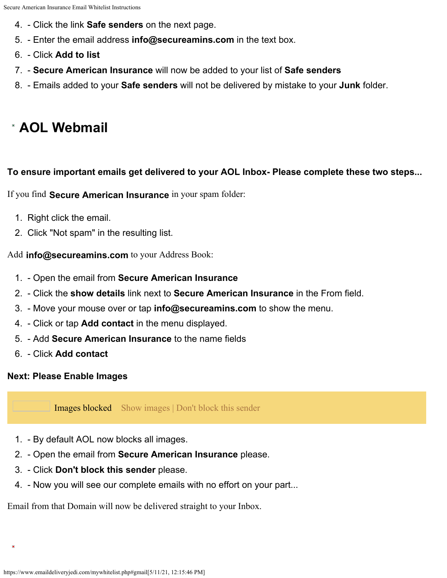- 4. Click the link **Safe senders** on the next page.
- 5. Enter the email address **info@secureamins.com** in the text box.
- 6. Click **Add to list**
- 7. **Secure American Insurance** will now be added to your list of **Safe senders**
- 8. Emails added to your **Safe senders** will not be delivered by mistake to your **Junk** folder.

## <span id="page-10-0"></span>**AOL Webmail**

#### **To ensure important emails get delivered to your AOL Inbox- Please complete these two steps...**

If you find **Secure American Insurance** in your spam folder:

- 1. Right click the email.
- 2. Click "Not spam" in the resulting list.

Add **info@secureamins.com** to your Address Book:

- 1. Open the email from **Secure American Insurance**
- 2. Click the **show details** link next to **Secure American Insurance** in the From field.
- 3. Move your mouse over or tap **info@secureamins.com** to show the menu.
- 4. Click or tap **Add contact** in the menu displayed.
- 5. Add **Secure American Insurance** to the name fields
- 6. Click **Add contact**

### **Next: Please Enable Images**

Images blocked Show images | Don't block this sender

- 1. By default AOL now blocks all images.
- 2. Open the email from **Secure American Insurance** please.
- 3. Click **Don't block this sender** please.
- 4. Now you will see our complete emails with no effort on your part...

Email from that Domain will now be delivered straight to your Inbox.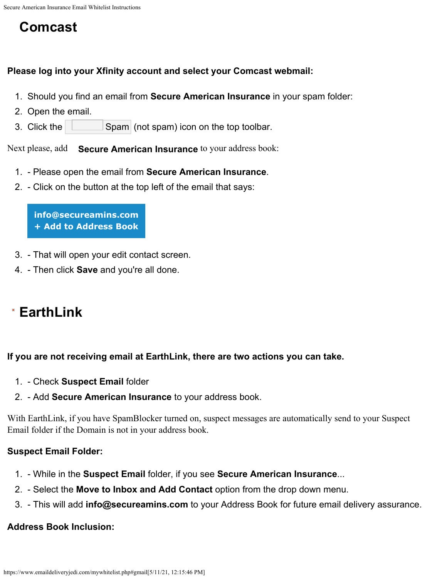## <span id="page-11-0"></span>**Comcast**

#### **Please log into your Xfinity account and select your Comcast webmail:**

- 1. Should you find an email from **Secure American Insurance** in your spam folder:
- 2. Open the email.
- 3. Click the  $\Box$  Spam (not spam) icon on the top toolbar.

Next please, add **Secure American Insurance** to your address book:

- 1. Please open the email from **Secure American Insurance**.
- 2. Click on the button at the top left of the email that says:

**info@secureamins.com + Add to Address Book**

- 3. That will open your edit contact screen.
- 4. Then click **Save** and you're all done.

## <span id="page-11-1"></span>**EarthLink**

### **If you are not receiving email at EarthLink, there are two actions you can take.**

- 1. Check **Suspect Email** folder
- 2. Add **Secure American Insurance** to your address book.

With EarthLink, if you have SpamBlocker turned on, suspect messages are automatically send to your Suspect Email folder if the Domain is not in your address book.

### **Suspect Email Folder:**

- 1. While in the **Suspect Email** folder, if you see **Secure American Insurance**...
- 2. Select the **Move to Inbox and Add Contact** option from the drop down menu.
- 3. This will add **info@secureamins.com** to your Address Book for future email delivery assurance.

### **Address Book Inclusion:**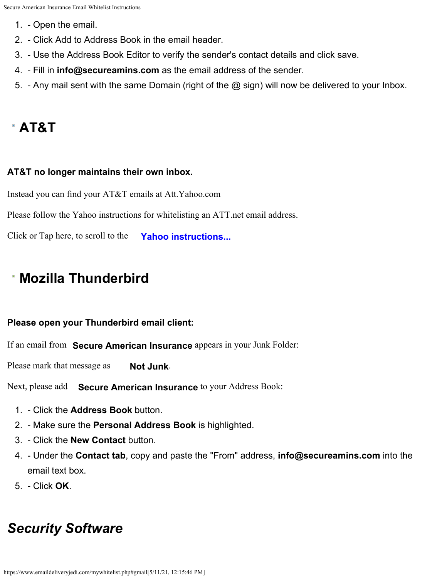- 1. Open the email.
- 2. Click Add to Address Book in the email header.
- 3. Use the Address Book Editor to verify the sender's contact details and click save.
- 4. Fill in **info@secureamins.com** as the email address of the sender.
- 5. Any mail sent with the same Domain (right of the @ sign) will now be delivered to your Inbox.

## <span id="page-12-0"></span>**AT&T**

### **AT&T no longer maintains their own inbox.**

Instead you can find your AT&T emails at Att.Yahoo.com

Please follow the Yahoo instructions for whitelisting an ATT.net email address.

Click or Tap here, to scroll to the **[Yahoo instructions...](#page-6-1)**

## <span id="page-12-1"></span>**Mozilla Thunderbird**

### **Please open your Thunderbird email client:**

If an email from **Secure American Insurance** appears in your Junk Folder:

Please mark that message as **Not Junk**.

Next, please add **Secure American Insurance** to your Address Book:

- 1. Click the **Address Book** button.
- 2. Make sure the **Personal Address Book** is highlighted.
- 3. Click the **New Contact** button.
- 4. Under the **Contact tab**, copy and paste the "From" address, **info@secureamins.com** into the email text box.
- 5. Click **OK**.

# *Security Software*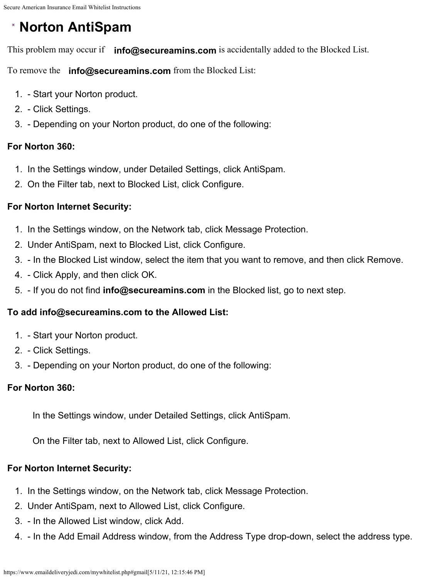# <span id="page-13-0"></span>**Norton AntiSpam**

This problem may occur if **info@secureamins.com** is accidentally added to the Blocked List.

To remove the **info@secureamins.com** from the Blocked List:

- 1. Start your Norton product.
- 2. Click Settings.
- 3. Depending on your Norton product, do one of the following:

### **For Norton 360:**

- 1. In the Settings window, under Detailed Settings, click AntiSpam.
- 2. On the Filter tab, next to Blocked List, click Configure.

### **For Norton Internet Security:**

- 1. In the Settings window, on the Network tab, click Message Protection.
- 2. Under AntiSpam, next to Blocked List, click Configure.
- 3. In the Blocked List window, select the item that you want to remove, and then click Remove.
- 4. Click Apply, and then click OK.
- 5. If you do not find **info@secureamins.com** in the Blocked list, go to next step.

### **To add info@secureamins.com to the Allowed List:**

- 1. Start your Norton product.
- 2. Click Settings.
- 3. Depending on your Norton product, do one of the following:

### **For Norton 360:**

In the Settings window, under Detailed Settings, click AntiSpam.

On the Filter tab, next to Allowed List, click Configure.

### **For Norton Internet Security:**

- 1. In the Settings window, on the Network tab, click Message Protection.
- 2. Under AntiSpam, next to Allowed List, click Configure.
- 3. In the Allowed List window, click Add.
- 4. In the Add Email Address window, from the Address Type drop-down, select the address type.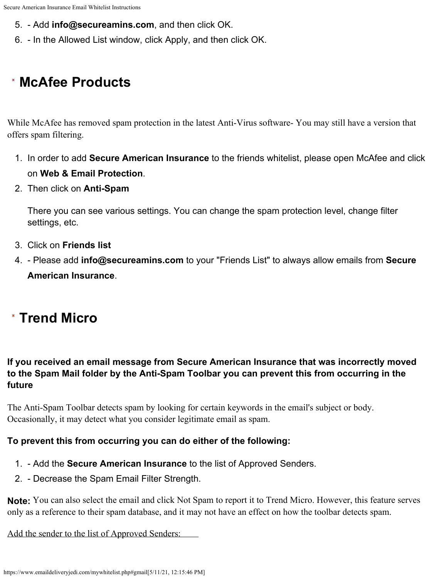- 5. Add **info@secureamins.com**, and then click OK.
- 6. In the Allowed List window, click Apply, and then click OK.

# <span id="page-14-0"></span>**McAfee Products**

While McAfee has removed spam protection in the latest Anti-Virus software- You may still have a version that offers spam filtering.

- 1. In order to add **Secure American Insurance** to the friends whitelist, please open McAfee and click on **Web & Email Protection**.
- 2. Then click on **Anti-Spam**

There you can see various settings. You can change the spam protection level, change filter settings, etc.

- 3. Click on **Friends list**
- 4. Please add **info@secureamins.com** to your "Friends List" to always allow emails from **Secure American Insurance**.

# <span id="page-14-1"></span>**Trend Micro**

### **If you received an email message from Secure American Insurance that was incorrectly moved to the Spam Mail folder by the Anti-Spam Toolbar you can prevent this from occurring in the future**

The Anti-Spam Toolbar detects spam by looking for certain keywords in the email's subject or body. Occasionally, it may detect what you consider legitimate email as spam.

### **To prevent this from occurring you can do either of the following:**

- 1. Add the **Secure American Insurance** to the list of Approved Senders.
- 2. Decrease the Spam Email Filter Strength.

**Note:** You can also select the email and click Not Spam to report it to Trend Micro. However, this feature serves only as a reference to their spam database, and it may not have an effect on how the toolbar detects spam.

Add the sender to the list of Approved Senders: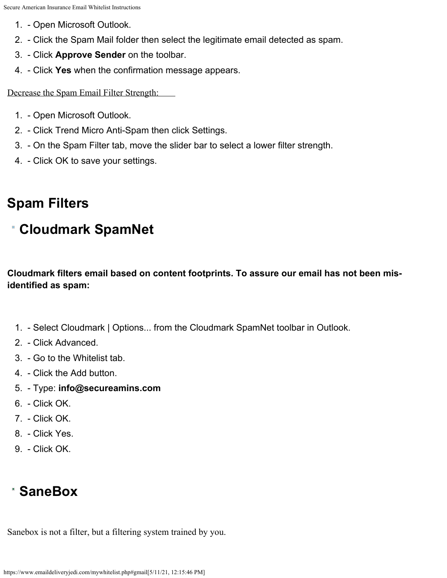- 1. Open Microsoft Outlook.
- 2. Click the Spam Mail folder then select the legitimate email detected as spam.
- 3. Click **Approve Sender** on the toolbar.
- 4. Click **Yes** when the confirmation message appears.

Decrease the Spam Email Filter Strength:

- 1. Open Microsoft Outlook.
- 2. Click Trend Micro Anti-Spam then click Settings.
- 3. On the Spam Filter tab, move the slider bar to select a lower filter strength.
- 4. Click OK to save your settings.

## **Spam Filters**

## <span id="page-15-0"></span>**Cloudmark SpamNet**

**Cloudmark filters email based on content footprints. To assure our email has not been misidentified as spam:**

- 1. Select Cloudmark | Options... from the Cloudmark SpamNet toolbar in Outlook.
- 2. Click Advanced.
- 3. Go to the Whitelist tab.
- 4. Click the Add button.
- 5. Type: **info@secureamins.com**
- 6. Click OK.
- 7. Click OK.
- 8. Click Yes.
- 9. Click OK.

## <span id="page-15-1"></span>**SaneBox**

Sanebox is not a filter, but a filtering system trained by you.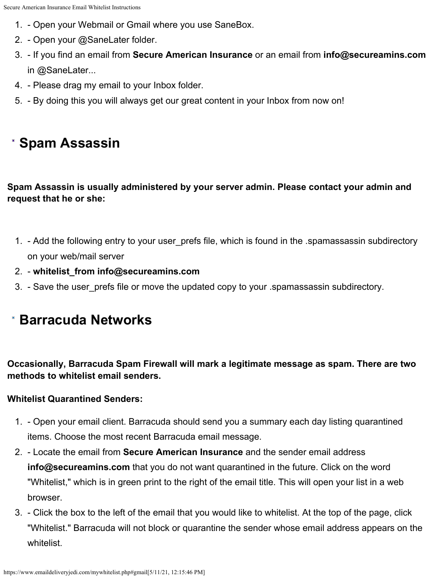- 1. Open your Webmail or Gmail where you use SaneBox.
- 2. Open your @SaneLater folder.
- 3. If you find an email from **Secure American Insurance** or an email from **info@secureamins.com** in @SaneLater...
- 4. Please drag my email to your Inbox folder.
- 5. By doing this you will always get our great content in your Inbox from now on!

# <span id="page-16-1"></span>**Spam Assassin**

### **Spam Assassin is usually administered by your server admin. Please contact your admin and request that he or she:**

- 1. Add the following entry to your user\_prefs file, which is found in the .spamassassin subdirectory on your web/mail server
- 2. **whitelist\_from info@secureamins.com**
- 3. Save the user prefs file or move the updated copy to your .spamassassin subdirectory.

## <span id="page-16-0"></span>**Barracuda Networks**

**Occasionally, Barracuda Spam Firewall will mark a legitimate message as spam. There are two methods to whitelist email senders.**

### **Whitelist Quarantined Senders:**

- 1. Open your email client. Barracuda should send you a summary each day listing quarantined items. Choose the most recent Barracuda email message.
- 2. Locate the email from **Secure American Insurance** and the sender email address **info@secureamins.com** that you do not want quarantined in the future. Click on the word "Whitelist," which is in green print to the right of the email title. This will open your list in a web browser.
- 3. Click the box to the left of the email that you would like to whitelist. At the top of the page, click "Whitelist." Barracuda will not block or quarantine the sender whose email address appears on the whitelist.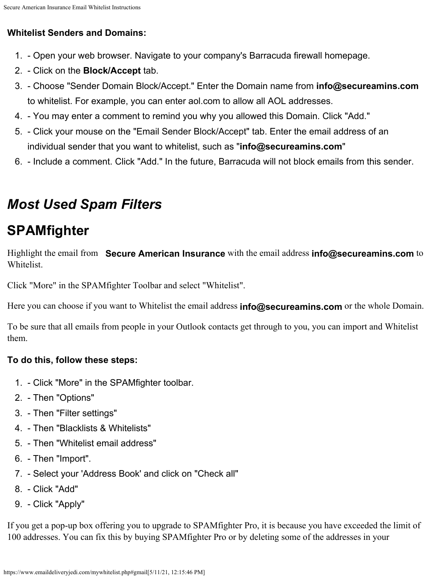### **Whitelist Senders and Domains:**

- 1. Open your web browser. Navigate to your company's Barracuda firewall homepage.
- 2. Click on the **Block/Accept** tab.
- 3. Choose "Sender Domain Block/Accept." Enter the Domain name from **info@secureamins.com** to whitelist. For example, you can enter aol.com to allow all AOL addresses.
- 4. You may enter a comment to remind you why you allowed this Domain. Click "Add."
- 5. Click your mouse on the "Email Sender Block/Accept" tab. Enter the email address of an individual sender that you want to whitelist, such as "**info@secureamins.com**"
- 6. Include a comment. Click "Add." In the future, Barracuda will not block emails from this sender.

# <span id="page-17-0"></span>*Most Used Spam Filters*

# **SPAMfighter**

Highlight the email from **Secure American Insurance** with the email address **info@secureamins.com** to Whitelist.

Click "More" in the SPAMfighter Toolbar and select "Whitelist".

Here you can choose if you want to Whitelist the email address **info@secureamins.com** or the whole Domain.

To be sure that all emails from people in your Outlook contacts get through to you, you can import and Whitelist them.

### **To do this, follow these steps:**

- 1. Click "More" in the SPAMfighter toolbar.
- 2. Then "Options"
- 3. Then "Filter settings"
- 4. Then "Blacklists & Whitelists"
- 5. Then "Whitelist email address"
- 6. Then "Import".
- 7. Select your 'Address Book' and click on "Check all"
- 8. Click "Add"
- 9. Click "Apply"

If you get a pop-up box offering you to upgrade to SPAMfighter Pro, it is because you have exceeded the limit of 100 addresses. You can fix this by buying SPAMfighter Pro or by deleting some of the addresses in your